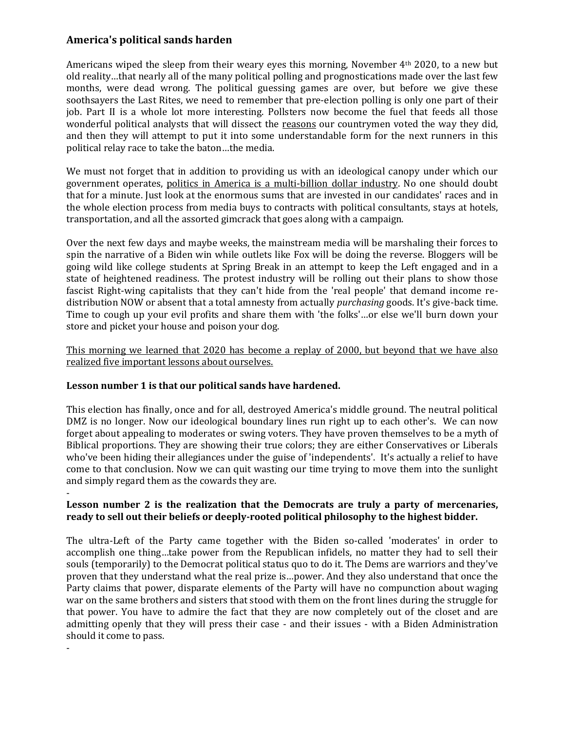# **America's political sands harden**

Americans wiped the sleep from their weary eyes this morning, November 4th 2020, to a new but old reality…that nearly all of the many political polling and prognostications made over the last few months, were dead wrong. The political guessing games are over, but before we give these soothsayers the Last Rites, we need to remember that pre-election polling is only one part of their job. Part II is a whole lot more interesting. Pollsters now become the fuel that feeds all those wonderful political analysts that will dissect the reasons our countrymen voted the way they did, and then they will attempt to put it into some understandable form for the next runners in this political relay race to take the baton…the media.

We must not forget that in addition to providing us with an ideological canopy under which our government operates, politics in America is a multi-billion dollar industry. No one should doubt that for a minute. Just look at the enormous sums that are invested in our candidates' races and in the whole election process from media buys to contracts with political consultants, stays at hotels, transportation, and all the assorted gimcrack that goes along with a campaign.

Over the next few days and maybe weeks, the mainstream media will be marshaling their forces to spin the narrative of a Biden win while outlets like Fox will be doing the reverse. Bloggers will be going wild like college students at Spring Break in an attempt to keep the Left engaged and in a state of heightened readiness. The protest industry will be rolling out their plans to show those fascist Right-wing capitalists that they can't hide from the 'real people' that demand income redistribution NOW or absent that a total amnesty from actually *purchasing* goods. It's give-back time. Time to cough up your evil profits and share them with 'the folks'…or else we'll burn down your store and picket your house and poison your dog.

This morning we learned that 2020 has become a replay of 2000, but beyond that we have also realized five important lessons about ourselves.

# **Lesson number 1 is that our political sands have hardened.**

-

This election has finally, once and for all, destroyed America's middle ground. The neutral political DMZ is no longer. Now our ideological boundary lines run right up to each other's. We can now forget about appealing to moderates or swing voters. They have proven themselves to be a myth of Biblical proportions. They are showing their true colors; they are either Conservatives or Liberals who've been hiding their allegiances under the guise of 'independents'. It's actually a relief to have come to that conclusion. Now we can quit wasting our time trying to move them into the sunlight and simply regard them as the cowards they are.

### - **Lesson number 2 is the realization that the Democrats are truly a party of mercenaries, ready to sell out their beliefs or deeply-rooted political philosophy to the highest bidder.**

The ultra-Left of the Party came together with the Biden so-called 'moderates' in order to accomplish one thing…take power from the Republican infidels, no matter they had to sell their souls (temporarily) to the Democrat political status quo to do it. The Dems are warriors and they've proven that they understand what the real prize is…power. And they also understand that once the Party claims that power, disparate elements of the Party will have no compunction about waging war on the same brothers and sisters that stood with them on the front lines during the struggle for that power. You have to admire the fact that they are now completely out of the closet and are admitting openly that they will press their case - and their issues - with a Biden Administration should it come to pass.